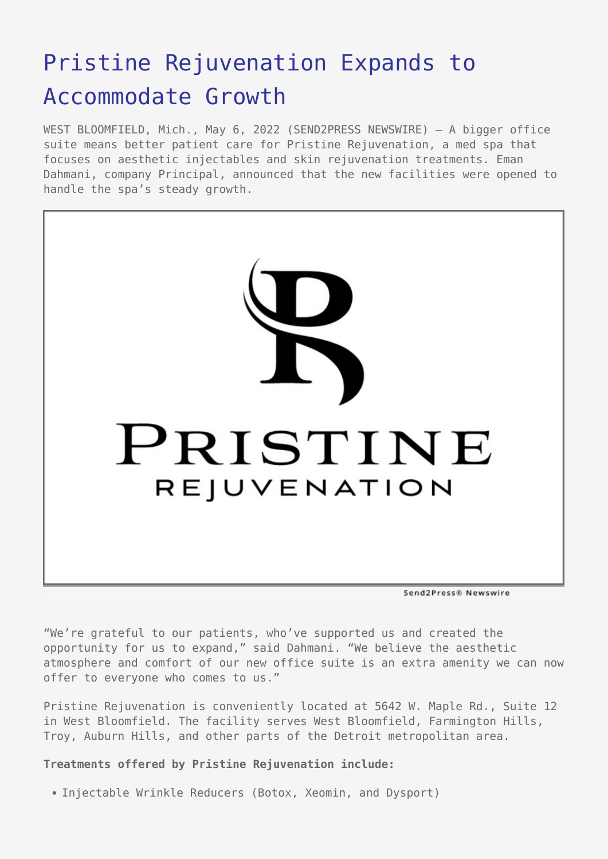## [Pristine Rejuvenation Expands to](https://www.send2press.com/wire/pristine-rejuvenation-expands-to-accommodate-growth/) [Accommodate Growth](https://www.send2press.com/wire/pristine-rejuvenation-expands-to-accommodate-growth/)

WEST BLOOMFIELD, Mich., May 6, 2022 (SEND2PRESS NEWSWIRE) — A bigger office suite means better patient care for Pristine Rejuvenation, a med spa that focuses on aesthetic injectables and skin rejuvenation treatments. Eman Dahmani, company Principal, announced that the new facilities were opened to handle the spa's steady growth.



"We're grateful to our patients, who've supported us and created the opportunity for us to expand," said Dahmani. "We believe the aesthetic atmosphere and comfort of our new office suite is an extra amenity we can now offer to everyone who comes to us."

Pristine Rejuvenation is conveniently located at 5642 W. Maple Rd., Suite 12 in West Bloomfield. The facility serves West Bloomfield, Farmington Hills, Troy, Auburn Hills, and other parts of the Detroit metropolitan area.

## **Treatments offered by Pristine Rejuvenation include:**

Injectable Wrinkle Reducers (Botox, Xeomin, and Dysport)